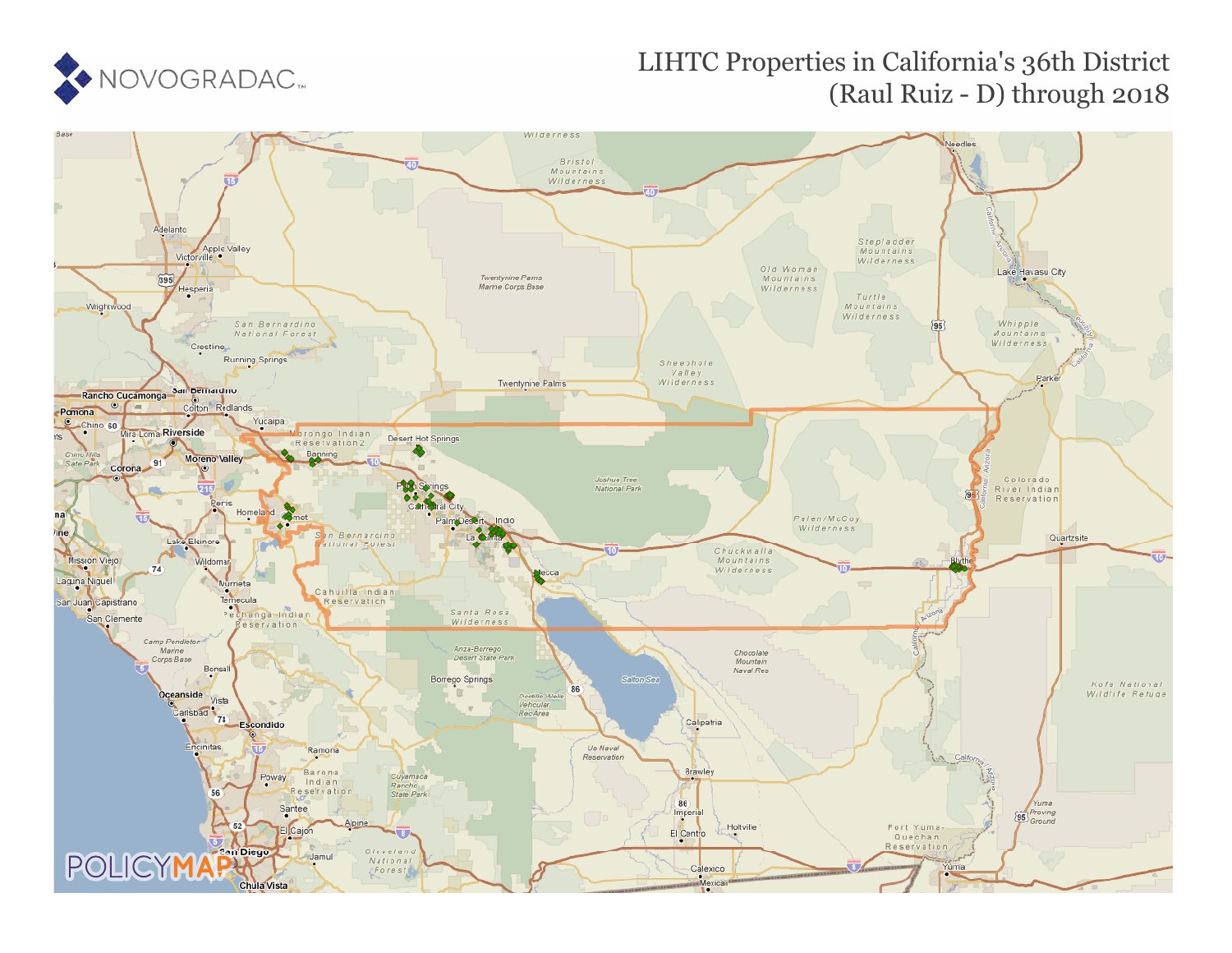

# LIHTC Properties in California's 36th District (Raul Ruiz - D) through 2018

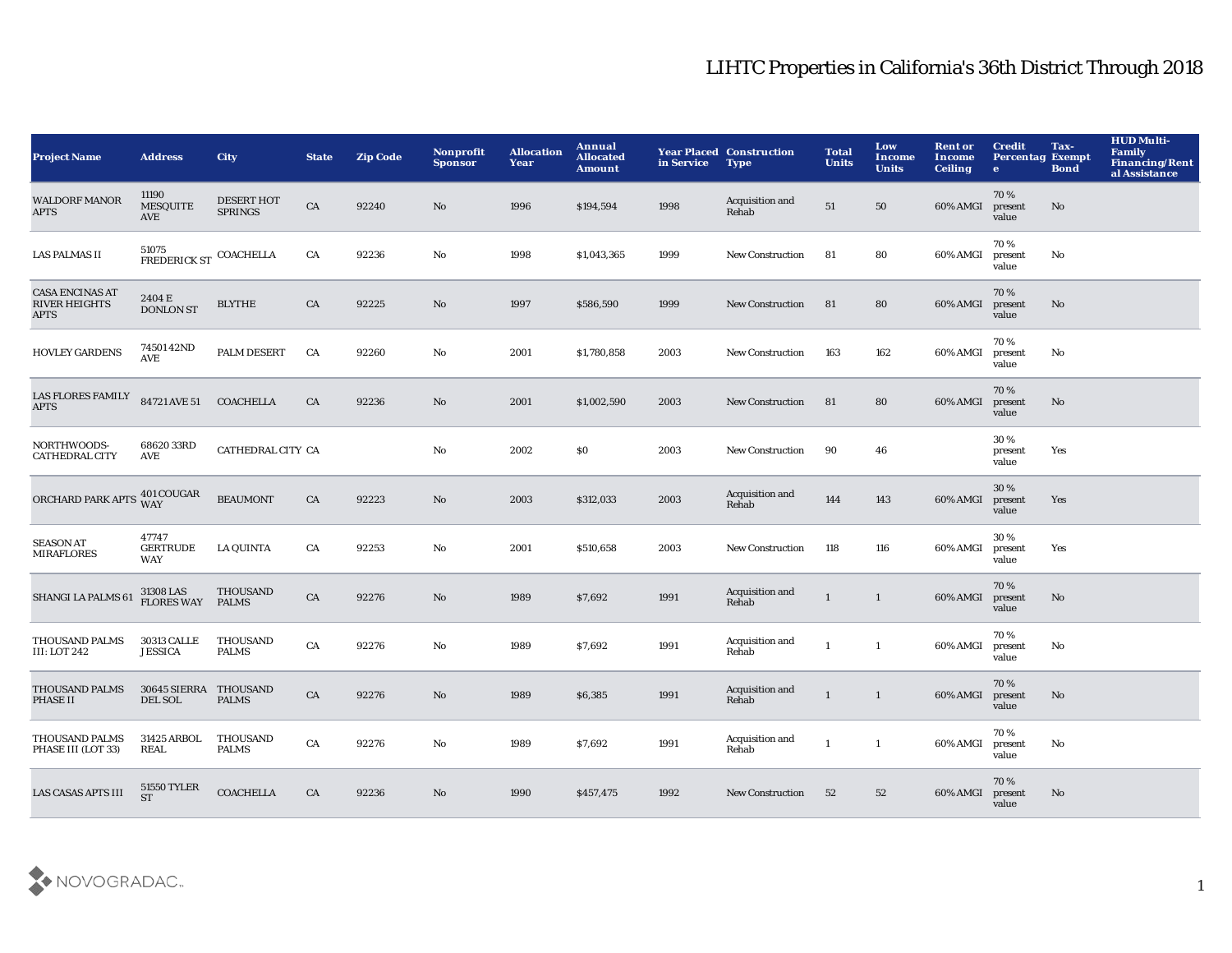| <b>Project Name</b>                                           | <b>Address</b>                              | <b>City</b>                         | <b>State</b> | <b>Zip Code</b> | Nonprofit<br><b>Sponsor</b> | <b>Allocation</b><br>Year | Annual<br><b>Allocated</b><br>Amount | in Service | <b>Year Placed Construction</b><br><b>Type</b> | <b>Total</b><br><b>Units</b> | Low<br><b>Income</b><br><b>Units</b> | <b>Rent or</b><br>Income<br><b>Ceiling</b> | <b>Credit</b><br><b>Percentag Exempt</b><br>$\bullet$ | Tax-<br><b>Bond</b> | <b>HUD Multi-</b><br><b>Family</b><br>Financing/Rent<br>al Assistance |
|---------------------------------------------------------------|---------------------------------------------|-------------------------------------|--------------|-----------------|-----------------------------|---------------------------|--------------------------------------|------------|------------------------------------------------|------------------------------|--------------------------------------|--------------------------------------------|-------------------------------------------------------|---------------------|-----------------------------------------------------------------------|
| <b>WALDORF MANOR</b><br><b>APTS</b>                           | 11190<br><b>MESQUITE</b><br>AVE             | <b>DESERT HOT</b><br><b>SPRINGS</b> | ${\rm CA}$   | 92240           | No                          | 1996                      | \$194,594                            | 1998       | Acquisition and<br>Rehab                       | ${\bf 51}$                   | 50                                   | 60% AMGI                                   | 70%<br>present<br>value                               | No                  |                                                                       |
| <b>LAS PALMAS II</b>                                          | $51075\ \mathrm{FREDERICK\ ST}$             | COACHELLA                           | CA           | 92236           | No                          | 1998                      | \$1,043,365                          | 1999       | <b>New Construction</b>                        | 81                           | 80                                   | 60% AMGI                                   | 70%<br>present<br>value                               | No                  |                                                                       |
| <b>CASA ENCINAS AT</b><br><b>RIVER HEIGHTS</b><br><b>APTS</b> | 2404 E<br><b>DONLON ST</b>                  | <b>BLYTHE</b>                       | CA           | 92225           | $\rm No$                    | 1997                      | \$586,590                            | 1999       | <b>New Construction</b>                        | 81                           | 80                                   | 60% AMGI                                   | 70%<br>present<br>value                               | No                  |                                                                       |
| <b>HOVLEY GARDENS</b>                                         | 74501 42ND<br>$\operatorname{\mathbf{AVE}}$ | PALM DESERT                         | CA           | 92260           | $\rm No$                    | 2001                      | \$1,780,858                          | 2003       | New Construction                               | 163                          | 162                                  | 60% AMGI                                   | 70%<br>present<br>value                               | No                  |                                                                       |
| <b>LAS FLORES FAMILY</b><br><b>APTS</b>                       | 84721 AVE 51                                | <b>COACHELLA</b>                    | CA           | 92236           | $\rm No$                    | 2001                      | \$1,002,590                          | 2003       | <b>New Construction</b>                        | 81                           | 80                                   | 60% AMGI                                   | 70%<br>present<br>value                               | No                  |                                                                       |
| NORTHWOODS-<br><b>CATHEDRAL CITY</b>                          | 6862033RD<br>AVE                            | CATHEDRAL CITY CA                   |              |                 | $\mathbf{N}\mathbf{o}$      | 2002                      | \$0                                  | 2003       | <b>New Construction</b>                        | 90                           | 46                                   |                                            | 30%<br>present<br>value                               | Yes                 |                                                                       |
| ORCHARD PARK APTS                                             | 401 COUGAR<br><b>WAY</b>                    | <b>BEAUMONT</b>                     | CA           | 92223           | $\mathbf{N}\mathbf{o}$      | 2003                      | \$312,033                            | 2003       | Acquisition and<br>Rehab                       | 144                          | 143                                  | 60% AMGI                                   | 30%<br>present<br>value                               | Yes                 |                                                                       |
| <b>SEASON AT</b><br><b>MIRAFLORES</b>                         | 47747<br><b>GERTRUDE</b><br><b>WAY</b>      | <b>LA QUINTA</b>                    | CA           | 92253           | No                          | 2001                      | \$510,658                            | 2003       | <b>New Construction</b>                        | 118                          | 116                                  | 60% AMGI                                   | 30%<br>present<br>value                               | Yes                 |                                                                       |
| SHANGI LA PALMS 61                                            | 31308 LAS<br><b>FLORES WAY</b>              | THOUSAND<br><b>PALMS</b>            | CA           | 92276           | No                          | 1989                      | \$7,692                              | 1991       | Acquisition and<br>Rehab                       | $\mathbf{1}$                 | $\mathbf{1}$                         | 60% AMGI                                   | 70%<br>present<br>value                               | No                  |                                                                       |
| THOUSAND PALMS<br><b>III: LOT 242</b>                         | 30313 CALLE<br><b>JESSICA</b>               | THOUSAND<br><b>PALMS</b>            | ${\rm CA}$   | 92276           | $\rm No$                    | 1989                      | \$7,692                              | 1991       | Acquisition and<br>Rehab                       | 1                            | $\mathbf{1}$                         | 60% AMGI                                   | 70%<br>present<br>value                               | No                  |                                                                       |
| <b>THOUSAND PALMS</b><br>PHASE II                             | 30645 SIERRA THOUSAND<br>DEL SOL            | <b>PALMS</b>                        | CA           | 92276           | No                          | 1989                      | \$6,385                              | 1991       | Acquisition and<br>Rehab                       | $\mathbf{1}$                 | $\mathbf{1}$                         | 60% AMGI                                   | 70%<br>present<br>value                               | No                  |                                                                       |
| THOUSAND PALMS<br>PHASE III (LOT 33)                          | 31425 ARBOL<br><b>REAL</b>                  | <b>THOUSAND</b><br><b>PALMS</b>     | CA           | 92276           | No                          | 1989                      | \$7,692                              | 1991       | Acquisition and<br>Rehab                       | 1                            | 1                                    | 60% AMGI                                   | 70%<br>present<br>value                               | No                  |                                                                       |
| LAS CASAS APTS III                                            | <b>51550 TYLER</b><br><b>ST</b>             | <b>COACHELLA</b>                    | CA           | 92236           | No                          | 1990                      | \$457,475                            | 1992       | <b>New Construction</b>                        | 52                           | 52                                   | 60% AMGI                                   | 70%<br>present<br>value                               | No                  |                                                                       |

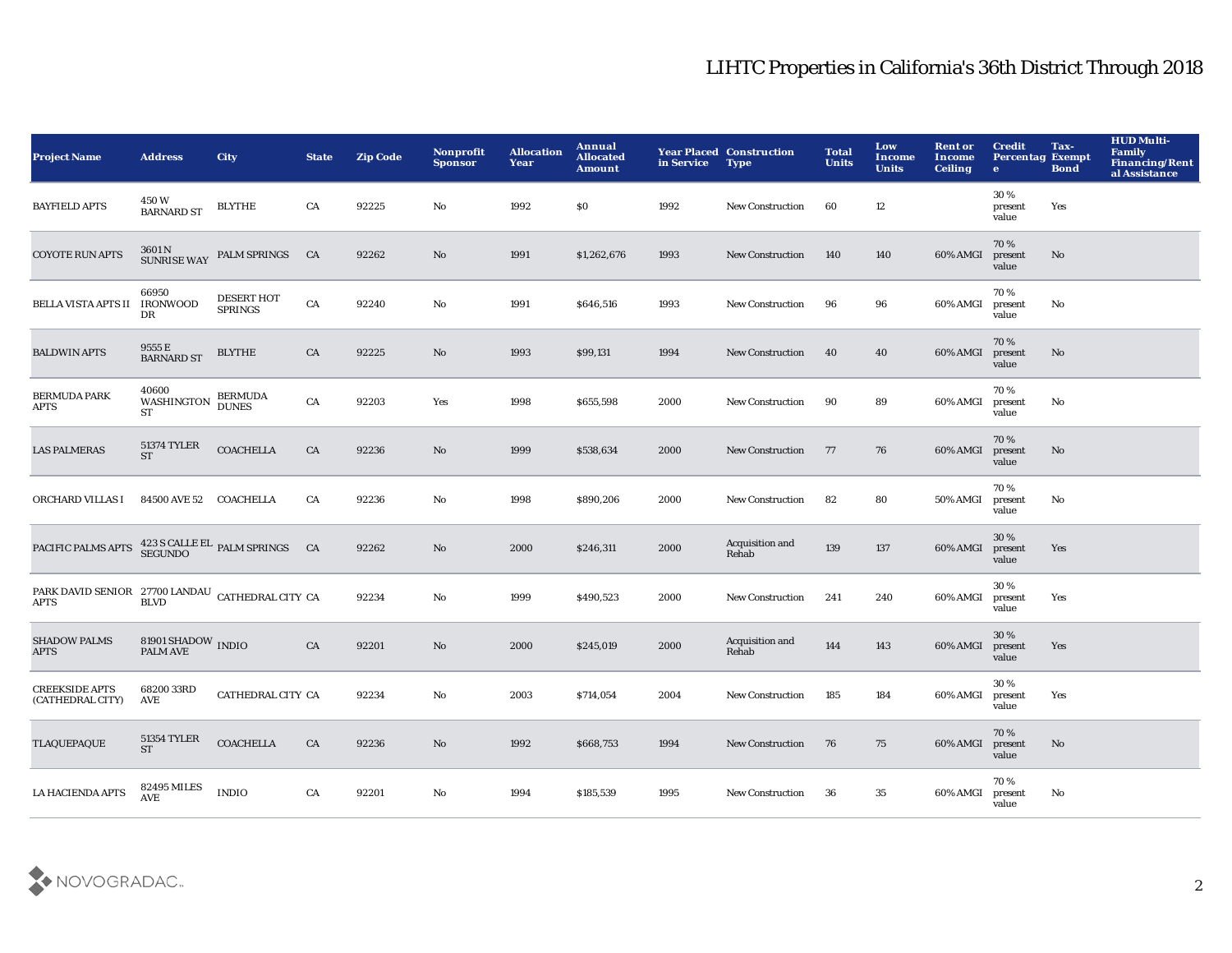| <b>Project Name</b>                                             | <b>Address</b>                                    | <b>City</b>                            | <b>State</b> | <b>Zip Code</b> | Nonprofit<br><b>Sponsor</b> | <b>Allocation</b><br>Year | Annual<br><b>Allocated</b><br><b>Amount</b> | in Service | <b>Year Placed Construction</b><br><b>Type</b> | <b>Total</b><br><b>Units</b> | Low<br><b>Income</b><br><b>Units</b> | <b>Rent or</b><br>Income<br><b>Ceiling</b> | <b>Credit</b><br><b>Percentag Exempt</b><br>$\bullet$ | Tax-<br><b>Bond</b> | HUD Multi-<br><b>Family</b><br><b>Financing/Rent</b><br>al Assistance |
|-----------------------------------------------------------------|---------------------------------------------------|----------------------------------------|--------------|-----------------|-----------------------------|---------------------------|---------------------------------------------|------------|------------------------------------------------|------------------------------|--------------------------------------|--------------------------------------------|-------------------------------------------------------|---------------------|-----------------------------------------------------------------------|
| <b>BAYFIELD APTS</b>                                            | 450W<br><b>BARNARD ST</b>                         | <b>BLYTHE</b>                          | CA           | 92225           | No                          | 1992                      | <b>SO</b>                                   | 1992       | <b>New Construction</b>                        | 60                           | 12                                   |                                            | 30%<br>present<br>value                               | Yes                 |                                                                       |
| <b>COYOTE RUN APTS</b>                                          | 3601 N<br>SUNRISE WAY                             | <b>PALM SPRINGS</b>                    | CA           | 92262           | $\mathbf{N}\mathbf{o}$      | 1991                      | \$1,262,676                                 | 1993       | <b>New Construction</b>                        | 140                          | 140                                  | 60% AMGI                                   | 70%<br>present<br>value                               | No                  |                                                                       |
| <b>BELLA VISTA APTS II</b>                                      | 66950<br><b>IRONWOOD</b><br>DR                    | <b>DESERT HOT</b><br><b>SPRINGS</b>    | CA           | 92240           | $\rm No$                    | 1991                      | \$646,516                                   | 1993       | <b>New Construction</b>                        | 96                           | 96                                   | 60% AMGI                                   | 70%<br>present<br>value                               | No                  |                                                                       |
| <b>BALDWIN APTS</b>                                             | 9555 E<br><b>BARNARD ST</b>                       | <b>BLYTHE</b>                          | CA           | 92225           | No                          | 1993                      | \$99,131                                    | 1994       | <b>New Construction</b>                        | 40                           | 40                                   | 60% AMGI                                   | 70%<br>present<br>value                               | No                  |                                                                       |
| <b>BERMUDA PARK</b><br><b>APTS</b>                              | 40600<br>WASHINGTON<br><b>ST</b>                  | <b>BERMUDA</b><br><b>DUNES</b>         | ${\rm CA}$   | 92203           | Yes                         | 1998                      | \$655,598                                   | 2000       | New Construction                               | 90                           | 89                                   | 60% AMGI                                   | 70%<br>present<br>value                               | No                  |                                                                       |
| <b>LAS PALMERAS</b>                                             | <b>51374 TYLER</b><br><b>ST</b>                   | <b>COACHELLA</b>                       | CA           | 92236           | $\rm No$                    | 1999                      | \$538,634                                   | 2000       | <b>New Construction</b>                        | 77                           | 76                                   | 60% AMGI                                   | 70%<br>present<br>value                               | No                  |                                                                       |
| ORCHARD VILLAS I                                                | 84500 AVE 52                                      | COACHELLA                              | CA           | 92236           | No                          | 1998                      | \$890,206                                   | 2000       | New Construction                               | 82                           | 80                                   | 50% AMGI                                   | 70%<br>present<br>value                               | No                  |                                                                       |
| PACIFIC PALMS APTS                                              |                                                   | 423 S CALLE EL PALM SPRINGS<br>SEGUNDO | CA           | 92262           | $\mathbf{N}\mathbf{o}$      | 2000                      | \$246,311                                   | 2000       | Acquisition and<br>Rehab                       | 139                          | 137                                  | 60% AMGI                                   | 30%<br>present<br>value                               | Yes                 |                                                                       |
| PARK DAVID SENIOR 27700 LANDAU CATHEDRAL CITY CA<br><b>APTS</b> | <b>BLVD</b>                                       |                                        |              | 92234           | No                          | 1999                      | \$490,523                                   | 2000       | New Construction                               | 241                          | 240                                  | 60% AMGI                                   | 30%<br>present<br>value                               | Yes                 |                                                                       |
| <b>SHADOW PALMS</b><br><b>APTS</b>                              | $81901\,\mathrm{SHADOW}$ INDIO<br><b>PALM AVE</b> |                                        | CA           | 92201           | $\mathbf{N}\mathbf{o}$      | 2000                      | \$245,019                                   | 2000       | Acquisition and<br>Rehab                       | 144                          | 143                                  | 60% AMGI                                   | 30%<br>present<br>value                               | Yes                 |                                                                       |
| <b>CREEKSIDE APTS</b><br>(CATHEDRAL CITY)                       | 68200 33RD<br>AVE                                 | CATHEDRAL CITY CA                      |              | 92234           | No                          | 2003                      | \$714,054                                   | 2004       | New Construction                               | 185                          | 184                                  | 60% AMGI                                   | 30%<br>present<br>value                               | Yes                 |                                                                       |
| <b>TLAQUEPAQUE</b>                                              | 51354 TYLER<br><b>ST</b>                          | <b>COACHELLA</b>                       | CA           | 92236           | No                          | 1992                      | \$668,753                                   | 1994       | <b>New Construction</b>                        | 76                           | 75                                   | 60% AMGI                                   | 70%<br>present<br>value                               | No                  |                                                                       |
| LA HACIENDA APTS                                                | <b>82495 MILES</b><br><b>AVE</b>                  | <b>INDIO</b>                           | CA           | 92201           | No                          | 1994                      | \$185,539                                   | 1995       | <b>New Construction</b>                        | 36                           | 35                                   | 60% AMGI                                   | 70%<br>present<br>value                               | No                  |                                                                       |

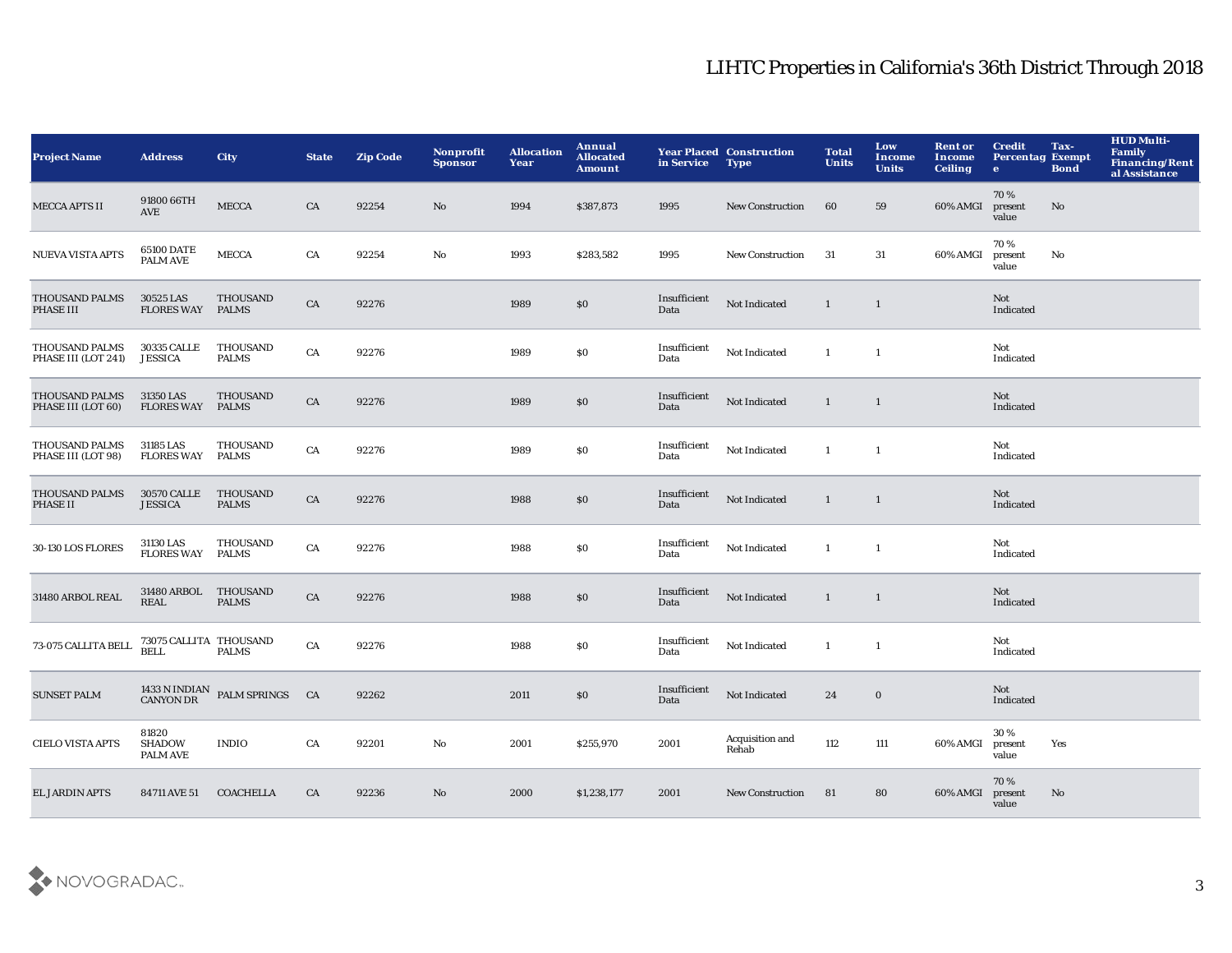| <b>Project Name</b>                   | <b>Address</b>                            | <b>City</b>                                          | <b>State</b> | <b>Zip Code</b> | Nonprofit<br><b>Sponsor</b> | <b>Allocation</b><br>Year | <b>Annual</b><br><b>Allocated</b><br><b>Amount</b> | in Service           | <b>Year Placed Construction</b><br><b>Type</b> | <b>Total</b><br><b>Units</b> | Low<br>Income<br><b>Units</b> | <b>Rent or</b><br>Income<br><b>Ceiling</b> | <b>Credit</b><br><b>Percentag Exempt</b><br>$\bullet$ | Tax-<br><b>Bond</b> | <b>HUD Multi-</b><br><b>Family</b><br>Financing/Rent<br>al Assistance |
|---------------------------------------|-------------------------------------------|------------------------------------------------------|--------------|-----------------|-----------------------------|---------------------------|----------------------------------------------------|----------------------|------------------------------------------------|------------------------------|-------------------------------|--------------------------------------------|-------------------------------------------------------|---------------------|-----------------------------------------------------------------------|
| <b>MECCA APTS II</b>                  | 91800 66TH<br>AVE                         | <b>MECCA</b>                                         | CA           | 92254           | No                          | 1994                      | \$387,873                                          | 1995                 | <b>New Construction</b>                        | 60                           | 59                            | 60% AMGI                                   | 70%<br>present<br>value                               | $\mathbf{No}$       |                                                                       |
| <b>NUEVA VISTA APTS</b>               | 65100 DATE<br>PALM AVE                    | <b>MECCA</b>                                         | CA           | 92254           | $\mathbf{N}\mathbf{o}$      | 1993                      | \$283,582                                          | 1995                 | <b>New Construction</b>                        | 31                           | 31                            | 60% AMGI                                   | 70%<br>present<br>value                               | No                  |                                                                       |
| THOUSAND PALMS<br>PHASE III           | 30525 LAS<br><b>FLORES WAY</b>            | <b>THOUSAND</b><br><b>PALMS</b>                      | CA           | 92276           |                             | 1989                      | $\$0$                                              | Insufficient<br>Data | Not Indicated                                  | $\mathbf{1}$                 | $\mathbf{1}$                  |                                            | Not<br>Indicated                                      |                     |                                                                       |
| THOUSAND PALMS<br>PHASE III (LOT 241) | 30335 CALLE<br><b>JESSICA</b>             | THOUSAND<br><b>PALMS</b>                             | CA           | 92276           |                             | 1989                      | $\$0$                                              | Insufficient<br>Data | Not Indicated                                  | $\mathbf{1}$                 | $\mathbf{1}$                  |                                            | Not<br>Indicated                                      |                     |                                                                       |
| THOUSAND PALMS<br>PHASE III (LOT 60)  | 31350 LAS<br><b>FLORES WAY</b>            | <b>THOUSAND</b><br><b>PALMS</b>                      | ${\rm CA}$   | 92276           |                             | 1989                      | $\$0$                                              | Insufficient<br>Data | Not Indicated                                  | $\mathbf{1}$                 | $\mathbf{1}$                  |                                            | Not<br>Indicated                                      |                     |                                                                       |
| THOUSAND PALMS<br>PHASE III (LOT 98)  | 31185 LAS<br><b>FLORES WAY</b>            | THOUSAND<br><b>PALMS</b>                             | CA           | 92276           |                             | 1989                      | $\$0$                                              | Insufficient<br>Data | Not Indicated                                  | $\mathbf{1}$                 | $\mathbf{1}$                  |                                            | Not<br>Indicated                                      |                     |                                                                       |
| THOUSAND PALMS<br>PHASE II            | <b>30570 CALLE</b><br><b>JESSICA</b>      | <b>THOUSAND</b><br><b>PALMS</b>                      | CA           | 92276           |                             | 1988                      | \$0                                                | Insufficient<br>Data | Not Indicated                                  | 1                            | $\mathbf{1}$                  |                                            | Not<br>Indicated                                      |                     |                                                                       |
| 30-130 LOS FLORES                     | 31130 LAS<br><b>FLORES WAY</b>            | <b>THOUSAND</b><br><b>PALMS</b>                      | CA           | 92276           |                             | 1988                      | $\$0$                                              | Insufficient<br>Data | Not Indicated                                  | $\mathbf{1}$                 | $\mathbf{1}$                  |                                            | Not<br>Indicated                                      |                     |                                                                       |
| 31480 ARBOL REAL                      | 31480 ARBOL<br><b>REAL</b>                | THOUSAND<br><b>PALMS</b>                             | ${\rm CA}$   | 92276           |                             | 1988                      | $\$0$                                              | Insufficient<br>Data | Not Indicated                                  | $\mathbf{1}$                 | $\mathbf{1}$                  |                                            | Not<br>Indicated                                      |                     |                                                                       |
| 73-075 CALLITA BELL                   | 73075 CALLITA THOUSAND<br><b>BELL</b>     | <b>PALMS</b>                                         | CA           | 92276           |                             | 1988                      | \$0                                                | Insufficient<br>Data | Not Indicated                                  | $\mathbf{1}$                 | $\mathbf{1}$                  |                                            | Not<br>Indicated                                      |                     |                                                                       |
| <b>SUNSET PALM</b>                    |                                           | $1433$ N INDIAN<br>PALM SPRINGS $\quad$ CA CANYON DR |              | 92262           |                             | 2011                      | \$0\$                                              | Insufficient<br>Data | Not Indicated                                  | 24                           | $\bf{0}$                      |                                            | Not<br>Indicated                                      |                     |                                                                       |
| <b>CIELO VISTA APTS</b>               | 81820<br><b>SHADOW</b><br><b>PALM AVE</b> | <b>INDIO</b>                                         | CA           | 92201           | No                          | 2001                      | \$255,970                                          | 2001                 | Acquisition and<br>Rehab                       | 112                          | 111                           | 60% AMGI                                   | 30%<br>present<br>value                               | Yes                 |                                                                       |
| <b>EL JARDIN APTS</b>                 | 84711 AVE 51                              | <b>COACHELLA</b>                                     | CA           | 92236           | No                          | 2000                      | \$1,238,177                                        | 2001                 | <b>New Construction</b>                        | 81                           | 80                            | 60% AMGI                                   | 70%<br>present<br>value                               | No                  |                                                                       |

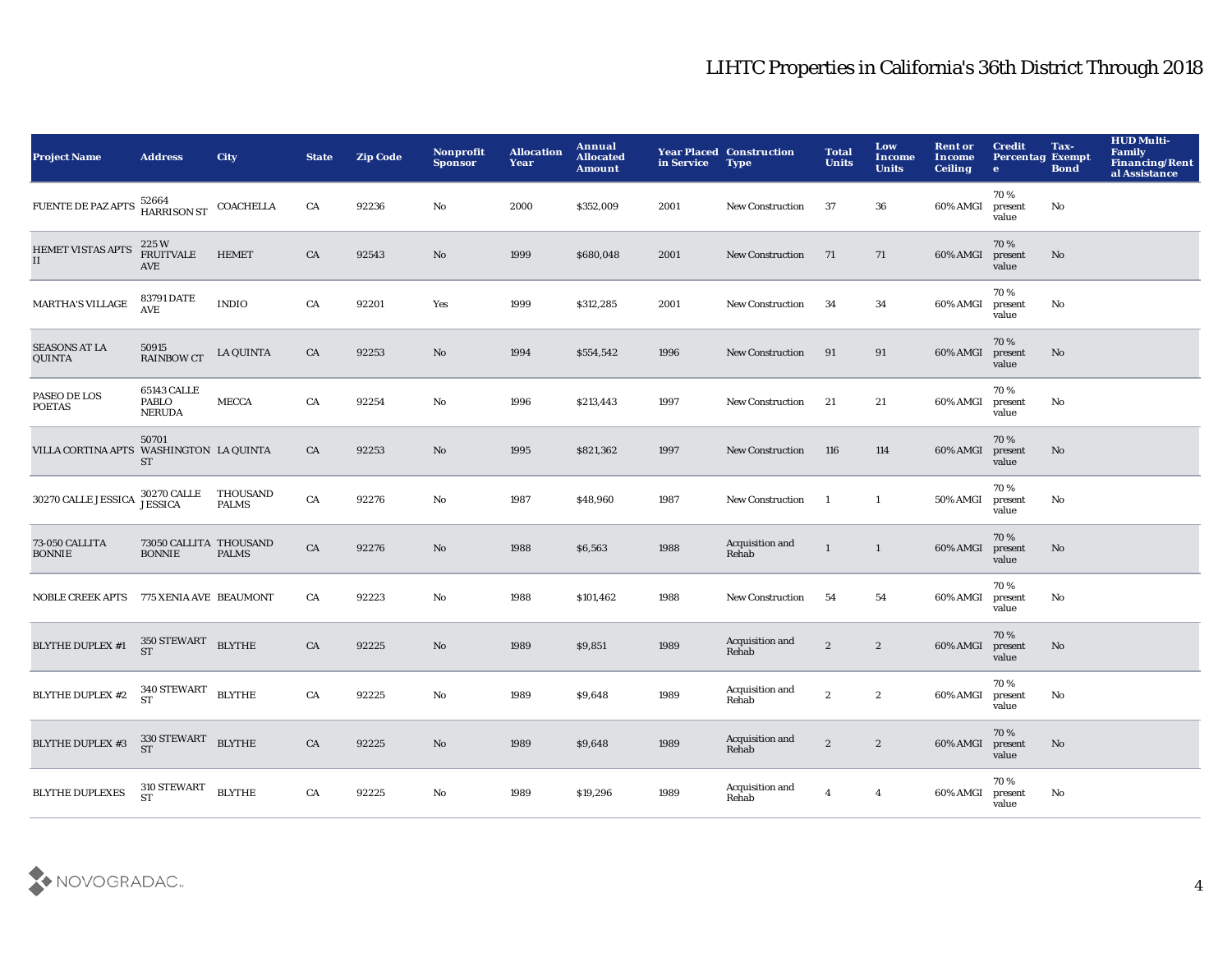| <b>Project Name</b>                     | <b>Address</b>                                         | <b>City</b>              | <b>State</b> | <b>Zip Code</b> | Nonprofit<br><b>Sponsor</b> | <b>Allocation</b><br>Year | Annual<br><b>Allocated</b><br>Amount | in Service | <b>Year Placed Construction</b><br><b>Type</b> | <b>Total</b><br><b>Units</b> | Low<br>Income<br><b>Units</b> | <b>Rent or</b><br><b>Income</b><br><b>Ceiling</b> | <b>Credit</b><br><b>Percentag Exempt</b><br>$\bullet$ | Tax-<br><b>Bond</b> | <b>HUD Multi-</b><br>Family<br><b>Financing/Rent</b><br>al Assistance |
|-----------------------------------------|--------------------------------------------------------|--------------------------|--------------|-----------------|-----------------------------|---------------------------|--------------------------------------|------------|------------------------------------------------|------------------------------|-------------------------------|---------------------------------------------------|-------------------------------------------------------|---------------------|-----------------------------------------------------------------------|
| <b>FUENTE DE PAZ APTS</b>               | 52664<br>HARRISON ST                                   | COACHELLA                | CA           | 92236           | No                          | 2000                      | \$352,009                            | 2001       | <b>New Construction</b>                        | 37                           | 36                            | 60% AMGI                                          | 70%<br>present<br>value                               | No                  |                                                                       |
| <b>HEMET VISTAS APTS</b><br>II          | 225 W<br><b>FRUITVALE</b><br>AVE                       | <b>HEMET</b>             | CA           | 92543           | No                          | 1999                      | \$680,048                            | 2001       | <b>New Construction</b>                        | 71                           | 71                            | 60% AMGI                                          | 70%<br>present<br>value                               | No                  |                                                                       |
| <b>MARTHA'S VILLAGE</b>                 | 83791 DATE<br><b>AVE</b>                               | <b>INDIO</b>             | CA           | 92201           | Yes                         | 1999                      | \$312,285                            | 2001       | <b>New Construction</b>                        | 34                           | 34                            | 60% AMGI                                          | 70%<br>present<br>value                               | No                  |                                                                       |
| <b>SEASONS AT LA</b><br>QUINTA          | 50915<br><b>RAINBOW CT</b>                             | <b>LA QUINTA</b>         | CA           | 92253           | No                          | 1994                      | \$554,542                            | 1996       | <b>New Construction</b>                        | 91                           | 91                            | 60% AMGI                                          | 70%<br>present<br>value                               | No                  |                                                                       |
| PASEO DE LOS<br><b>POETAS</b>           | <b>65143 CALLE</b><br><b>PABLO</b><br><b>NERUDA</b>    | <b>MECCA</b>             | CA           | 92254           | No                          | 1996                      | \$213,443                            | 1997       | <b>New Construction</b>                        | 21                           | 21                            | 60% AMGI                                          | 70%<br>present<br>value                               | No                  |                                                                       |
| VILLA CORTINA APTS                      | 50701<br>WASHINGTON LA QUINTA<br><b>ST</b>             |                          | CA           | 92253           | No                          | 1995                      | \$821,362                            | 1997       | <b>New Construction</b>                        | 116                          | 114                           | 60% AMGI                                          | 70%<br>present<br>value                               | No                  |                                                                       |
| 30270 CALLE JESSICA                     | <b>30270 CALLE</b><br><b>JESSICA</b>                   | THOUSAND<br><b>PALMS</b> | CA           | 92276           | No                          | 1987                      | \$48,960                             | 1987       | <b>New Construction</b>                        | $\mathbf{1}$                 | -1                            | 50% AMGI                                          | 70%<br>present<br>value                               | No                  |                                                                       |
| 73-050 CALLITA<br><b>BONNIE</b>         | 73050 CALLITA THOUSAND<br><b>BONNIE</b>                | <b>PALMS</b>             | CA           | 92276           | No                          | 1988                      | \$6,563                              | 1988       | Acquisition and<br>Rehab                       | $\mathbf{1}$                 | $\mathbf{1}$                  | 60% AMGI                                          | 70%<br>present<br>value                               | No                  |                                                                       |
| NOBLE CREEK APTS 775 XENIA AVE BEAUMONT |                                                        |                          | CA           | 92223           | No                          | 1988                      | \$101,462                            | 1988       | <b>New Construction</b>                        | 54                           | 54                            | 60% AMGI                                          | 70%<br>present<br>value                               | No                  |                                                                       |
| <b>BLYTHE DUPLEX #1</b>                 | $350\,{\rm STEWART}$ BLYTHE ST                         |                          | CA           | 92225           | No                          | 1989                      | \$9,851                              | 1989       | Acquisition and<br>Rehab                       | $\mathbf{2}$                 | $\boldsymbol{2}$              | 60% AMGI                                          | 70%<br>present<br>value                               | No                  |                                                                       |
| <b>BLYTHE DUPLEX #2</b>                 | $340\,{\rm STEWART} \quad {\rm BLYTHE} \quad {\rm ST}$ |                          | CA           | 92225           | No                          | 1989                      | \$9,648                              | 1989       | Acquisition and<br>Rehab                       | $\boldsymbol{2}$             | $\boldsymbol{2}$              | 60% AMGI                                          | 70%<br>present<br>value                               | No                  |                                                                       |
| <b>BLYTHE DUPLEX #3</b>                 | $330$ STEWART BLYTHE ST                                |                          | CA           | 92225           | No                          | 1989                      | \$9,648                              | 1989       | Acquisition and<br>Rehab                       | $\mathbf{2}$                 | $\boldsymbol{2}$              | 60% AMGI                                          | 70%<br>present<br>value                               | No                  |                                                                       |
| <b>BLYTHE DUPLEXES</b>                  | $310\,{\rm STEWART}$<br><b>ST</b>                      | <b>BLYTHE</b>            | CA           | 92225           | No                          | 1989                      | \$19,296                             | 1989       | Acquisition and<br>Rehab                       | $\overline{4}$               | $\overline{\mathbf{4}}$       | 60% AMGI                                          | 70%<br>present<br>value                               | No                  |                                                                       |

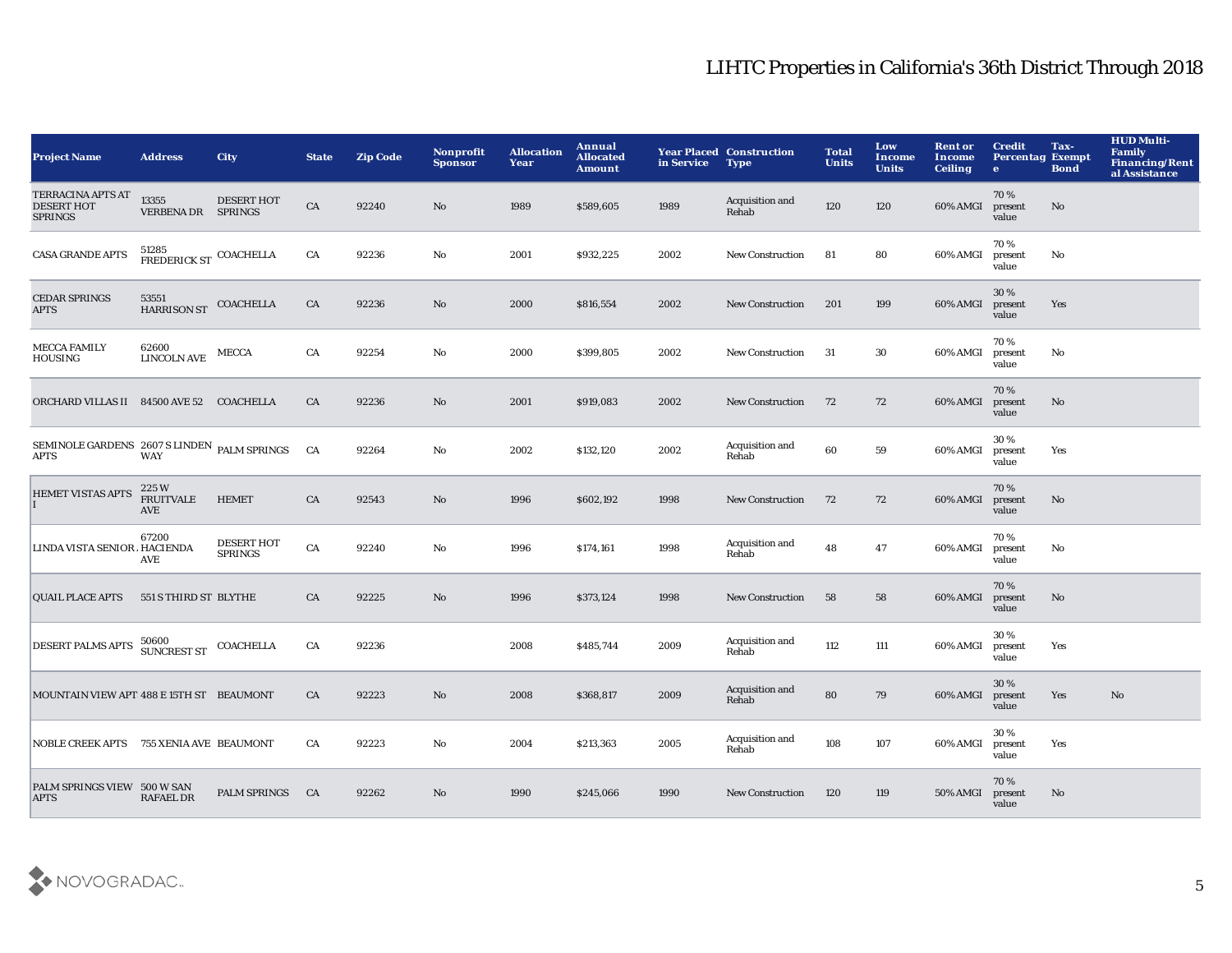| <b>Address</b>                                              | <b>City</b>                         | <b>State</b>                                                                                                                                                                                                                                                                   | <b>Zip Code</b> | <b>Nonprofit</b><br><b>Sponsor</b> | <b>Allocation</b><br>Year | Annual<br><b>Allocated</b><br><b>Amount</b> | in Service | <b>Type</b>              | <b>Total</b><br><b>Units</b>    | Low<br>Income<br><b>Units</b> | <b>Rent or</b><br>Income<br><b>Ceiling</b> | <b>Credit</b><br>$\bullet$ | Tax-<br><b>Bond</b>    | <b>HUD Multi-</b><br>Family<br><b>Financing/Rent</b><br>al Assistance |
|-------------------------------------------------------------|-------------------------------------|--------------------------------------------------------------------------------------------------------------------------------------------------------------------------------------------------------------------------------------------------------------------------------|-----------------|------------------------------------|---------------------------|---------------------------------------------|------------|--------------------------|---------------------------------|-------------------------------|--------------------------------------------|----------------------------|------------------------|-----------------------------------------------------------------------|
| 13355                                                       | <b>DESERT HOT</b>                   | CA                                                                                                                                                                                                                                                                             | 92240           | No                                 | 1989                      | \$589,605                                   | 1989       | Acquisition and<br>Rehab | 120                             | 120                           | 60% AMGI                                   | 70%<br>present<br>value    | No                     |                                                                       |
| 51285                                                       |                                     | ${\rm CA}$                                                                                                                                                                                                                                                                     | 92236           | $\rm No$                           | 2001                      | \$932,225                                   | 2002       | <b>New Construction</b>  | 81                              | 80                            | 60% AMGI                                   | 70%<br>present<br>value    | $\mathbf{N}\mathbf{o}$ |                                                                       |
| 53551                                                       | COACHELLA                           | CA                                                                                                                                                                                                                                                                             | 92236           | No                                 | 2000                      | \$816,554                                   | 2002       | <b>New Construction</b>  | 201                             | 199                           | 60% AMGI                                   | 30%<br>present<br>value    | Yes                    |                                                                       |
| 62600<br><b>LINCOLN AVE</b>                                 | <b>MECCA</b>                        | CA                                                                                                                                                                                                                                                                             | 92254           | No                                 | 2000                      | \$399,805                                   | 2002       | <b>New Construction</b>  | -31                             | 30                            | 60% AMGI                                   | 70%<br>present<br>value    | No                     |                                                                       |
|                                                             |                                     | CA                                                                                                                                                                                                                                                                             | 92236           | $\mathbf{N}\mathbf{o}$             | 2001                      | \$919,083                                   | 2002       | <b>New Construction</b>  | 72                              | 72                            | 60% AMGI                                   | 70%<br>present<br>value    | No                     |                                                                       |
| <b>WAY</b>                                                  |                                     | CA                                                                                                                                                                                                                                                                             | 92264           | No                                 | 2002                      | \$132,120                                   | 2002       | Acquisition and<br>Rehab | 60                              | 59                            | 60% AMGI                                   | 30%<br>present<br>value    | Yes                    |                                                                       |
| 225W<br>HEMET VISTAS APTS<br><b>FRUITVALE</b><br><b>AVE</b> | <b>HEMET</b>                        | CA                                                                                                                                                                                                                                                                             | 92543           | No                                 | 1996                      | \$602,192                                   | 1998       | <b>New Construction</b>  | 72                              | 72                            | 60% AMGI                                   | 70%<br>present<br>value    | No                     |                                                                       |
| 67200<br>LINDA VISTA SENIOR / HACIENDA<br><b>AVE</b>        | <b>DESERT HOT</b><br><b>SPRINGS</b> | CA                                                                                                                                                                                                                                                                             | 92240           | No                                 | 1996                      | \$174,161                                   | 1998       | Acquisition and<br>Rehab | 48                              | 47                            | 60% AMGI                                   | 70%<br>present<br>value    | No                     |                                                                       |
|                                                             |                                     | CA                                                                                                                                                                                                                                                                             | 92225           | No                                 | 1996                      | \$373,124                                   | 1998       | <b>New Construction</b>  | 58                              | 58                            | 60% AMGI                                   | 70%<br>present<br>value    | No                     |                                                                       |
| DESERT PALMS APTS 50600<br>SUNCREST ST                      | COACHELLA                           | CA                                                                                                                                                                                                                                                                             | 92236           |                                    | 2008                      | \$485,744                                   | 2009       | Acquisition and<br>Rehab | 112                             | 111                           | 60% AMGI                                   | 30%<br>present<br>value    | Yes                    |                                                                       |
|                                                             |                                     | CA                                                                                                                                                                                                                                                                             | 92223           | $\mathbf{N}\mathbf{o}$             | 2008                      | \$368,817                                   | 2009       | Acquisition and<br>Rehab | 80                              | 79                            | 60% AMGI                                   | 30%<br>present<br>value    | Yes                    | $\mathbf{N}\mathbf{o}$                                                |
|                                                             |                                     | CA                                                                                                                                                                                                                                                                             | 92223           | $\mathbf{N}\mathbf{o}$             | 2004                      | \$213,363                                   | 2005       | Acquisition and<br>Rehab | 108                             | 107                           | 60% AMGI                                   | 30%<br>present<br>value    | Yes                    |                                                                       |
| PALM SPRINGS VIEW 500 W SAN<br><b>RAFAEL DR</b>             | <b>PALM SPRINGS</b>                 | CA                                                                                                                                                                                                                                                                             | 92262           | No                                 | 1990                      | \$245,066                                   | 1990       | <b>New Construction</b>  | 120                             | 119                           | 50% AMGI                                   | 70%<br>present<br>value    | No                     |                                                                       |
|                                                             |                                     | VERBENA DR SPRINGS<br>FREDERICK ST COACHELLA<br><b>HARRISON ST</b><br>ORCHARD VILLAS II 84500 AVE 52 COACHELLA<br>SEMINOLE GARDENS 2607 S LINDEN PALM SPRINGS<br>551 S THIRD ST BLYTHE<br>MOUNTAIN VIEW APT: 488 E 15TH ST BEAUMONT<br>NOBLE CREEK APTS 755 XENIA AVE BEAUMONT |                 |                                    |                           |                                             |            |                          | <b>Year Placed Construction</b> |                               |                                            |                            |                        | <b>Percentag Exempt</b>                                               |

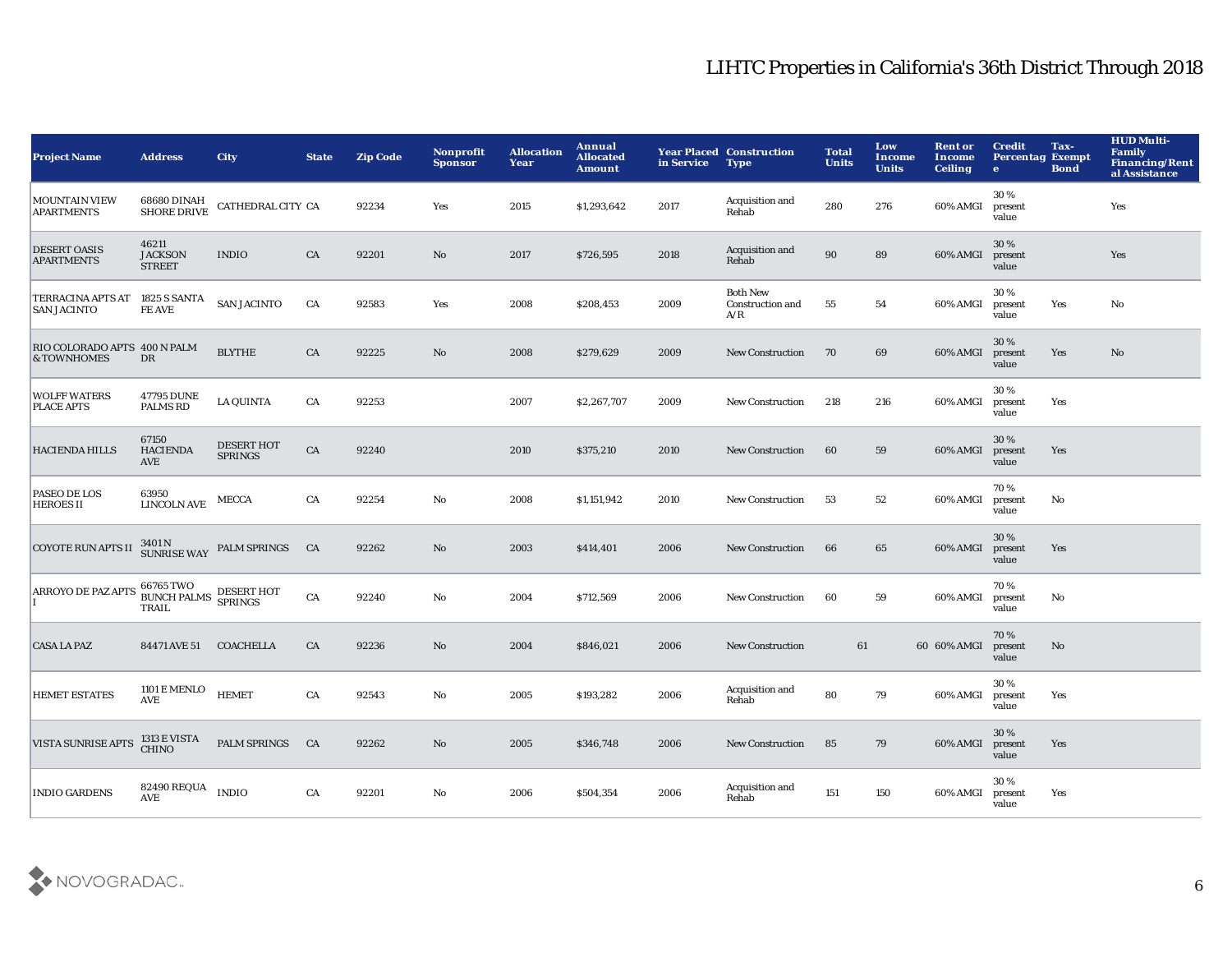| <b>Project Name</b>                                  | <b>Address</b>                                                                                                           | <b>City</b>                           | <b>State</b> | <b>Zip Code</b> | <b>Nonprofit</b><br><b>Sponsor</b> | <b>Allocation</b><br>Year | Annual<br><b>Allocated</b><br><b>Amount</b> | in Service | <b>Year Placed Construction</b><br><b>Type</b> | <b>Total</b><br><b>Units</b> | Low<br>Income<br><b>Units</b> | <b>Rent or</b><br>Income<br><b>Ceiling</b> | <b>Credit</b><br><b>Percentag Exempt</b><br>$\bullet$ | Tax-<br><b>Bond</b> | <b>HUD Multi-</b><br><b>Family</b><br><b>Financing/Rent</b><br>al Assistance |
|------------------------------------------------------|--------------------------------------------------------------------------------------------------------------------------|---------------------------------------|--------------|-----------------|------------------------------------|---------------------------|---------------------------------------------|------------|------------------------------------------------|------------------------------|-------------------------------|--------------------------------------------|-------------------------------------------------------|---------------------|------------------------------------------------------------------------------|
| <b>MOUNTAIN VIEW</b><br><b>APARTMENTS</b>            | 68680 DINAH<br>SHORE DRIVE                                                                                               | CATHEDRAL CITY CA                     |              | 92234           | Yes                                | 2015                      | \$1,293,642                                 | 2017       | Acquisition and<br>Rehab                       | 280                          | 276                           | 60% AMGI                                   | 30%<br>present<br>value                               |                     | Yes                                                                          |
| <b>DESERT OASIS</b><br><b>APARTMENTS</b>             | 46211<br><b>JACKSON</b><br><b>STREET</b>                                                                                 | <b>INDIO</b>                          | CA           | 92201           | $\mathbf{N}\mathbf{o}$             | 2017                      | \$726,595                                   | 2018       | Acquisition and<br>Rehab                       | 90                           | 89                            | 60% AMGI                                   | 30 %<br>present<br>value                              |                     | Yes                                                                          |
| TERRACINA APTS AT 1825 S SANTA<br><b>SAN JACINTO</b> | FE AVE                                                                                                                   | <b>SAN JACINTO</b>                    | CA           | 92583           | Yes                                | 2008                      | \$208,453                                   | 2009       | <b>Both New</b><br>Construction and<br>A/R     | 55                           | 54                            | 60% AMGI                                   | 30%<br>present<br>value                               | Yes                 | No                                                                           |
| RIO COLORADO APTS 400 N PALM<br>& TOWNHOMES          | DR                                                                                                                       | <b>BLYTHE</b>                         | CA           | 92225           | No                                 | 2008                      | \$279,629                                   | 2009       | <b>New Construction</b>                        | 70                           | 69                            | 60% AMGI                                   | 30 %<br>present<br>value                              | Yes                 | No                                                                           |
| <b>WOLFF WATERS</b><br>PLACE APTS                    | 47795 DUNE<br><b>PALMS RD</b>                                                                                            | <b>LA QUINTA</b>                      | CA           | 92253           |                                    | 2007                      | \$2,267,707                                 | 2009       | <b>New Construction</b>                        | 218                          | 216                           | 60% AMGI                                   | 30%<br>present<br>value                               | Yes                 |                                                                              |
| <b>HACIENDA HILLS</b>                                | 67150<br><b>HACIENDA</b><br><b>AVE</b>                                                                                   | <b>DESERT HOT</b><br><b>SPRINGS</b>   | ${\rm CA}$   | 92240           |                                    | 2010                      | \$375,210                                   | 2010       | <b>New Construction</b>                        | 60                           | 59                            | 60% AMGI                                   | 30 %<br>present<br>value                              | Yes                 |                                                                              |
| PASEO DE LOS<br><b>HEROES II</b>                     | 63950<br><b>LINCOLN AVE</b>                                                                                              | MECCA                                 | CA           | 92254           | No                                 | 2008                      | \$1,151,942                                 | 2010       | <b>New Construction</b>                        | 53                           | 52                            | 60% AMGI                                   | 70%<br>present<br>value                               | No                  |                                                                              |
| <b>COYOTE RUN APTS II</b>                            |                                                                                                                          | 3401 N<br>SUNRISE WAY PALM SPRINGS CA |              | 92262           | No.                                | 2003                      | \$414,401                                   | 2006       | <b>New Construction</b>                        | 66                           | 65                            | 60% AMGI                                   | 30%<br>present<br>value                               | Yes                 |                                                                              |
| ARROYO DE PAZ APTS                                   | $66765\,{\rm TWO} \hspace{-5pt} {\rm BESERT\,HOT} \hspace{-5pt} {\rm BUNCH\,PALMS} \hspace{-5pt} {\rm SPRINGS}$<br>TRAIL |                                       | CA           | 92240           | No                                 | 2004                      | \$712,569                                   | 2006       | <b>New Construction</b>                        | 60                           | 59                            | 60% AMGI                                   | 70%<br>present<br>value                               | $\mathbf{No}$       |                                                                              |
| <b>CASA LA PAZ</b>                                   | 84471 AVE 51                                                                                                             | <b>COACHELLA</b>                      | CA           | 92236           | $\mathbf{N}\mathbf{o}$             | 2004                      | \$846,021                                   | 2006       | <b>New Construction</b>                        | 61                           |                               | 60 60% AMGI                                | 70%<br>present<br>value                               | No                  |                                                                              |
| <b>HEMET ESTATES</b>                                 | <b>1101 E MENLO</b><br>$\operatorname{\mathbf{AVE}}$                                                                     | <b>HEMET</b>                          | CA           | 92543           | No                                 | 2005                      | \$193,282                                   | 2006       | Acquisition and<br>Rehab                       | 80                           | 79                            | 60% AMGI                                   | 30%<br>present<br>value                               | Yes                 |                                                                              |
| <b>VISTA SUNRISE APTS</b>                            | 1313 E VISTA<br>CHINO                                                                                                    | <b>PALM SPRINGS</b>                   | CA           | 92262           | No                                 | 2005                      | \$346,748                                   | 2006       | <b>New Construction</b>                        | 85                           | 79                            | 60% AMGI                                   | 30 %<br>present<br>value                              | Yes                 |                                                                              |
| <b>INDIO GARDENS</b>                                 | $82490\,\mathrm{REQUA}$<br><b>AVE</b>                                                                                    | <b>INDIO</b>                          | CA           | 92201           | No                                 | 2006                      | \$504,354                                   | 2006       | Acquisition and<br>Rehab                       | 151                          | 150                           | 60% AMGI                                   | 30%<br>present<br>value                               | Yes                 |                                                                              |

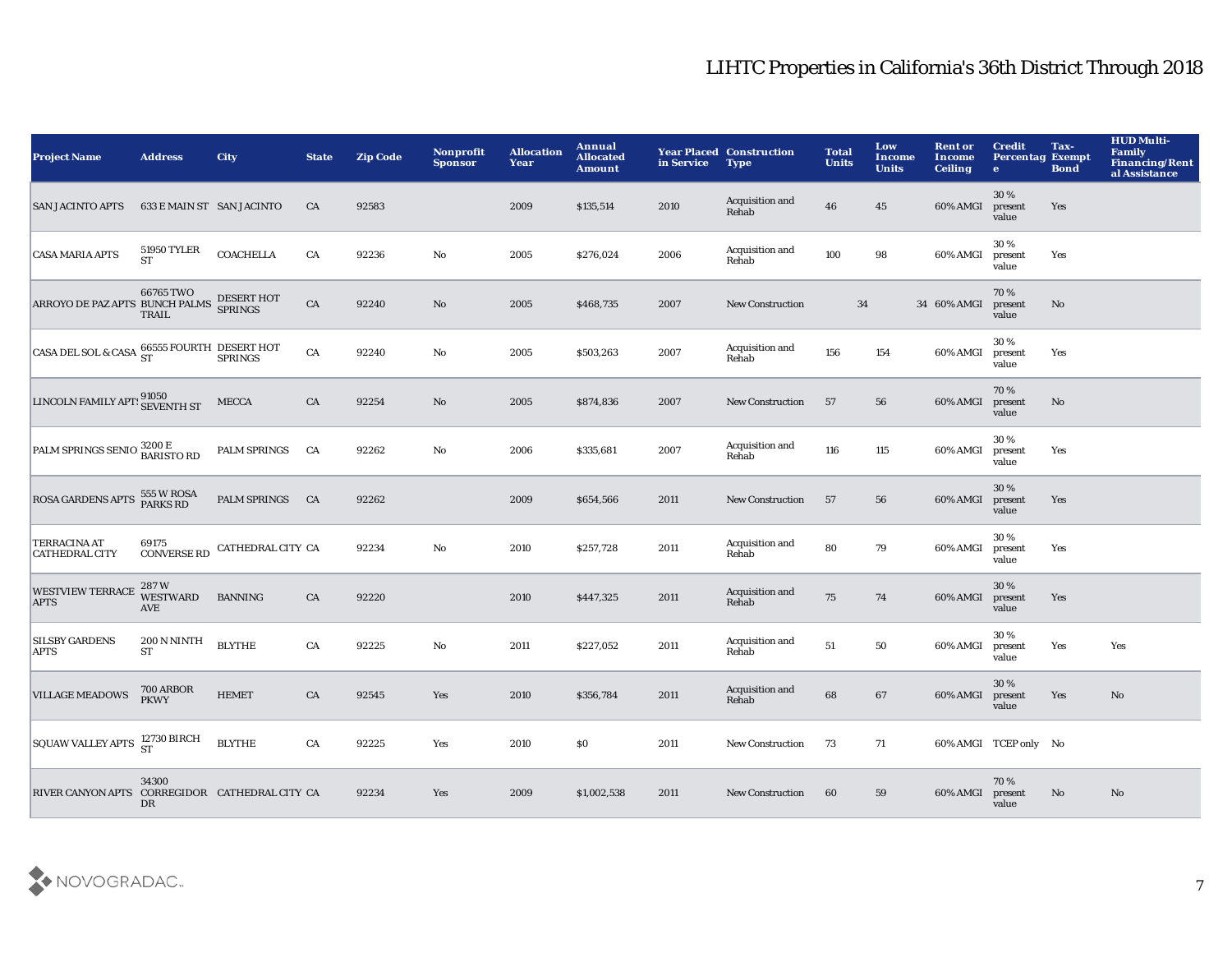| <b>Project Name</b>                                                                                                                                                                                  | <b>Address</b>                           | <b>City</b>                   | <b>State</b> | <b>Zip Code</b> | Nonprofit<br><b>Sponsor</b> | <b>Allocation</b><br>Year | Annual<br><b>Allocated</b><br><b>Amount</b> | in Service | <b>Year Placed Construction</b><br><b>Type</b> | <b>Total</b><br><b>Units</b> | Low<br><b>Income</b><br><b>Units</b> | <b>Rent or</b><br>Income<br><b>Ceiling</b> | <b>Credit</b><br><b>Percentag Exempt</b><br>$\bullet$ | Tax-<br><b>Bond</b> | <b>HUD Multi-</b><br><b>Family</b><br><b>Financing/Rent</b><br>al Assistance |
|------------------------------------------------------------------------------------------------------------------------------------------------------------------------------------------------------|------------------------------------------|-------------------------------|--------------|-----------------|-----------------------------|---------------------------|---------------------------------------------|------------|------------------------------------------------|------------------------------|--------------------------------------|--------------------------------------------|-------------------------------------------------------|---------------------|------------------------------------------------------------------------------|
| <b>SAN JACINTO APTS</b>                                                                                                                                                                              | 633 E MAIN ST SAN JACINTO                |                               | CA           | 92583           |                             | 2009                      | \$135,514                                   | 2010       | Acquisition and<br>Rehab                       | 46                           | 45                                   | 60% AMGI                                   | 30%<br>present<br>value                               | Yes                 |                                                                              |
| <b>CASA MARIA APTS</b>                                                                                                                                                                               | <b>51950 TYLER</b><br>${\cal S}{\cal T}$ | <b>COACHELLA</b>              | CA           | 92236           | $\mathbf {No}$              | 2005                      | \$276,024                                   | 2006       | Acquisition and<br>Rehab                       | 100                          | 98                                   | 60% AMGI                                   | 30%<br>present<br>value                               | Yes                 |                                                                              |
| ARROYO DE PAZ APTS BUNCH PALMS DESERT HOT                                                                                                                                                            | 66765 TWO<br><b>TRAIL</b>                |                               | ${\rm CA}$   | 92240           | $\mathbf {No}$              | 2005                      | \$468,735                                   | 2007       | New Construction                               | 34                           |                                      | 34 60% AMGI                                | 70%<br>present<br>value                               | No                  |                                                                              |
| $\begin{array}{ l } \hline \texttt{CASA DEL SOL & \texttt{CASA}} \begin{array}{l} \texttt{66555 FOURTH} \begin{array}{l} \texttt{DESERT HOT}\\ \texttt{SPRINCS} \end{array} \end{array} \end{array}$ |                                          |                               | ${\rm CA}$   | 92240           | No                          | 2005                      | \$503,263                                   | 2007       | Acquisition and<br>Rehab                       | 156                          | 154                                  | 60% AMGI                                   | 30%<br>present<br>value                               | Yes                 |                                                                              |
| LINCOLN FAMILY APTS 91050                                                                                                                                                                            |                                          | <b>MECCA</b>                  | CA           | 92254           | $\mathbf {No}$              | 2005                      | \$874,836                                   | 2007       | New Construction                               | 57                           | 56                                   | 60% AMGI                                   | 70%<br>present<br>value                               | No                  |                                                                              |
| PALM SPRINGS SENIO 3200 E<br>BARISTO RD                                                                                                                                                              |                                          | PALM SPRINGS                  | CA           | 92262           | $\mathbf {No}$              | 2006                      | \$335,681                                   | 2007       | Acquisition and<br>Rehab                       | 116                          | 115                                  | 60% AMGI                                   | 30%<br>present<br>value                               | Yes                 |                                                                              |
| ROSA GARDENS APTS 555 W ROSA                                                                                                                                                                         |                                          | PALM SPRINGS                  | CA           | 92262           |                             | 2009                      | \$654,566                                   | 2011       | New Construction                               | 57                           | 56                                   | 60% AMGI                                   | 30%<br>present<br>value                               | Yes                 |                                                                              |
| <b>TERRACINA AT</b><br><b>CATHEDRAL CITY</b>                                                                                                                                                         | 69175                                    | CONVERSE RD CATHEDRAL CITY CA |              | 92234           | No                          | 2010                      | \$257,728                                   | 2011       | Acquisition and<br>Rehab                       | 80                           | 79                                   | 60% AMGI                                   | 30%<br>present<br>value                               | Yes                 |                                                                              |
| <b>WESTVIEW TERRACE</b><br><b>APTS</b>                                                                                                                                                               | 287W<br><b>WESTWARD</b><br><b>AVE</b>    | <b>BANNING</b>                | CA           | 92220           |                             | 2010                      | \$447,325                                   | 2011       | Acquisition and<br>Rehab                       | 75                           | 74                                   | 60% AMGI                                   | 30 %<br>present<br>value                              | Yes                 |                                                                              |
| <b>SILSBY GARDENS</b><br>APTS                                                                                                                                                                        | 200 N NINTH<br><b>ST</b>                 | <b>BLYTHE</b>                 | CA           | 92225           | $\mathbf {No}$              | 2011                      | \$227,052                                   | 2011       | Acquisition and<br>Rehab                       | 51                           | 50                                   | 60% AMGI                                   | 30%<br>present<br>value                               | Yes                 | Yes                                                                          |
| <b>VILLAGE MEADOWS</b>                                                                                                                                                                               | 700 ARBOR<br>PKWY                        | <b>HEMET</b>                  | CA           | 92545           | Yes                         | 2010                      | \$356,784                                   | 2011       | Acquisition and<br>Rehab                       | 68                           | 67                                   | 60% AMGI                                   | 30 %<br>present<br>value                              | Yes                 | No                                                                           |
| SQUAW VALLEY APTS 12730 BIRCH                                                                                                                                                                        |                                          | <b>BLYTHE</b>                 | CA           | 92225           | Yes                         | 2010                      | SO.                                         | 2011       | <b>New Construction</b>                        | 73                           | 71                                   |                                            | 60% AMGI TCEP only No                                 |                     |                                                                              |
| RIVER CANYON APTS CORREGIDOR CATHEDRAL CITY CA                                                                                                                                                       | 34300<br>DR                              |                               |              | 92234           | Yes                         | 2009                      | \$1,002,538                                 | 2011       | <b>New Construction</b>                        | 60                           | 59                                   | 60% AMGI                                   | 70%<br>present<br>value                               | No.                 | No                                                                           |

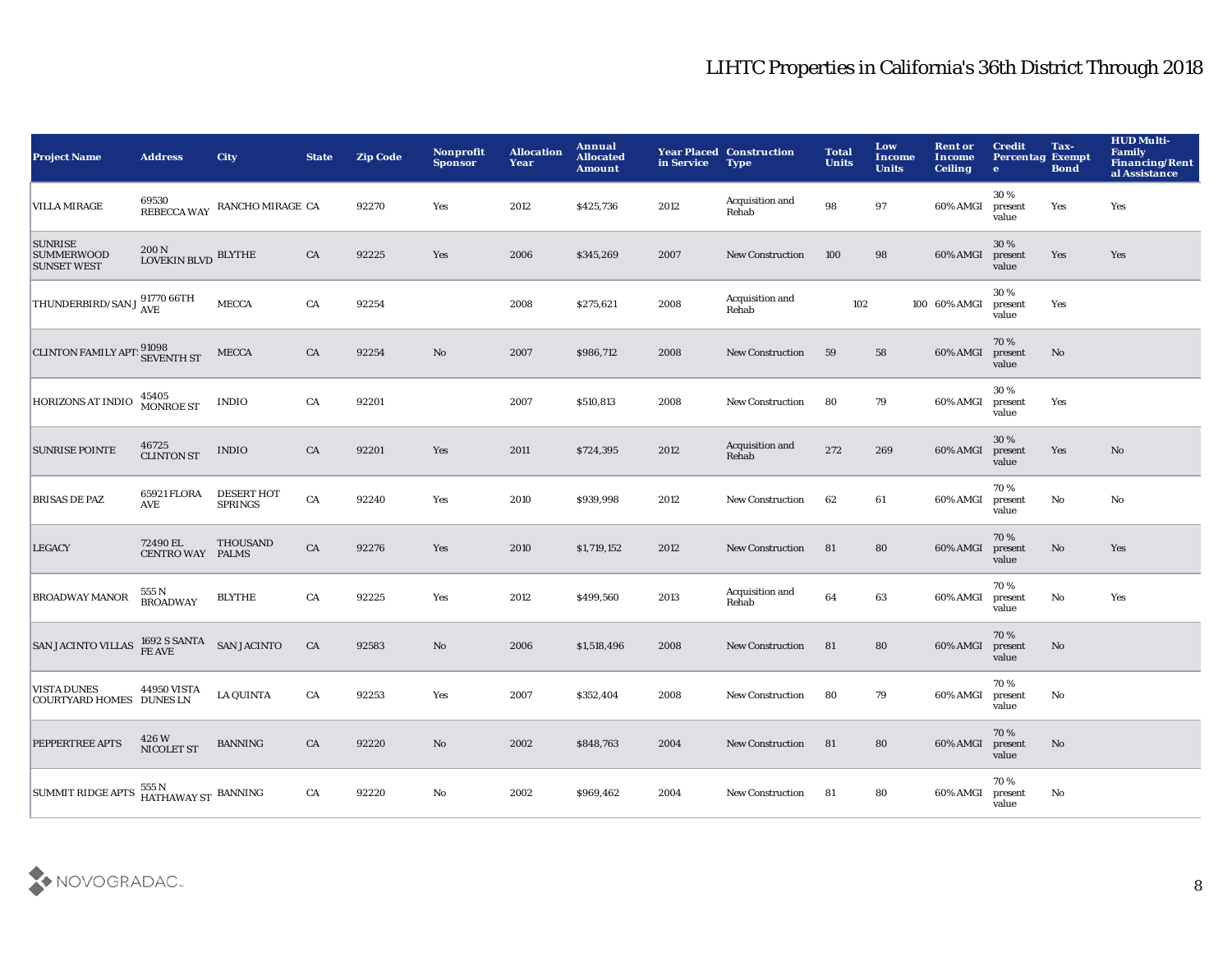| <b>Project Name</b>                                       | <b>Address</b>                             | <b>City</b>                           | <b>State</b> | <b>Zip Code</b> | Nonprofit<br><b>Sponsor</b> | <b>Allocation</b><br>Year | Annual<br><b>Allocated</b><br><b>Amount</b> | in Service | <b>Year Placed Construction</b><br><b>Type</b> | <b>Total</b><br><b>Units</b> | Low<br>Income<br><b>Units</b> | <b>Rent or</b><br>Income<br><b>Ceiling</b> | <b>Credit</b><br><b>Percentag Exempt</b><br>$\bullet$ | Tax-<br><b>Bond</b> | <b>HUD Multi-</b><br>Family<br><b>Financing/Rent</b><br>al Assistance |
|-----------------------------------------------------------|--------------------------------------------|---------------------------------------|--------------|-----------------|-----------------------------|---------------------------|---------------------------------------------|------------|------------------------------------------------|------------------------------|-------------------------------|--------------------------------------------|-------------------------------------------------------|---------------------|-----------------------------------------------------------------------|
| <b>VILLA MIRAGE</b>                                       |                                            | 69530<br>REBECCA WAY RANCHO MIRAGE CA |              | 92270           | Yes                         | 2012                      | \$425,736                                   | 2012       | Acquisition and<br>Rehab                       | 98                           | 97                            | 60% AMGI                                   | 30%<br>present<br>value                               | Yes                 | Yes                                                                   |
| <b>SUNRISE</b><br><b>SUMMERWOOD</b><br><b>SUNSET WEST</b> | $200\,\mathrm{N}$ LOVEKIN BLVD $\,$ BLYTHE |                                       | ${\rm CA}$   | 92225           | Yes                         | 2006                      | \$345,269                                   | 2007       | <b>New Construction</b>                        | 100                          | 98                            | 60% AMGI                                   | 30 %<br>present<br>value                              | Yes                 | Yes                                                                   |
| THUNDERBIRD/SAN J 91770 66TH                              |                                            | <b>MECCA</b>                          | ${\rm CA}$   | 92254           |                             | 2008                      | \$275,621                                   | 2008       | Acquisition and<br>Rehab                       | 102                          |                               | 100 60% AMGI                               | 30%<br>present<br>value                               | Yes                 |                                                                       |
| <b>CLINTON FAMILY APT:</b> 91098<br>SEVENTH ST            |                                            | MECCA                                 | CA           | 92254           | No                          | 2007                      | \$986,712                                   | 2008       | <b>New Construction</b>                        | 59                           | 58                            | 60% AMGI                                   | 70%<br>present<br>value                               | No                  |                                                                       |
| HORIZONS AT INDIO                                         | 45405<br>MONROE ST                         | <b>INDIO</b>                          | CA           | 92201           |                             | 2007                      | \$510,813                                   | 2008       | <b>New Construction</b>                        | 80                           | 79                            | 60% AMGI                                   | 30%<br>present<br>value                               | Yes                 |                                                                       |
| <b>SUNRISE POINTE</b>                                     | $46725 \atop \text{CLINTON ST}$            | <b>INDIO</b>                          | CA           | 92201           | Yes                         | 2011                      | \$724,395                                   | 2012       | Acquisition and<br>Rehab                       | 272                          | 269                           | 60% AMGI                                   | 30%<br>present<br>value                               | Yes                 | $\mathbf{N}\mathbf{o}$                                                |
| <b>BRISAS DE PAZ</b>                                      | 65921 FLORA<br>AVE                         | <b>DESERT HOT</b><br><b>SPRINGS</b>   | CA           | 92240           | Yes                         | 2010                      | \$939,998                                   | 2012       | New Construction                               | 62                           | 61                            | 60% AMGI                                   | 70%<br>present<br>value                               | $\mathbf {No}$      | No                                                                    |
| <b>LEGACY</b>                                             | 72490 EL<br>CENTRO WAY PALMS               | <b>THOUSAND</b>                       | ${\rm CA}$   | 92276           | Yes                         | 2010                      | \$1,719,152                                 | 2012       | <b>New Construction</b>                        | 81                           | 80                            | 60% AMGI                                   | 70%<br>present<br>value                               | $\mathbf {No}$      | Yes                                                                   |
| <b>BROADWAY MANOR</b>                                     | 555 N<br>BROADWAY                          | <b>BLYTHE</b>                         | ${\rm CA}$   | 92225           | Yes                         | 2012                      | \$499,560                                   | 2013       | Acquisition and<br>Rehab                       | 64                           | 63                            | 60% AMGI                                   | 70%<br>present<br>value                               | $\mathbf{No}$       | Yes                                                                   |
| <b>SAN JACINTO VILLAS</b>                                 | 1692 S SANTA<br>FE AVE                     | <b>SAN JACINTO</b>                    | ${\rm CA}$   | 92583           | $\rm No$                    | 2006                      | \$1,518,496                                 | 2008       | <b>New Construction</b>                        | 81                           | 80                            | 60% AMGI                                   | 70%<br>present<br>value                               | $\mathbf{No}$       |                                                                       |
| <b>VISTA DUNES</b><br><b>COURTYARD HOMES DUNES LN</b>     | 44950 VISTA                                | <b>LA QUINTA</b>                      | CA           | 92253           | Yes                         | 2007                      | \$352,404                                   | 2008       | <b>New Construction</b>                        | 80                           | 79                            | 60% AMGI                                   | 70%<br>present<br>value                               | No                  |                                                                       |
| PEPPERTREE APTS                                           | 426 W<br>NICOLET ST                        | <b>BANNING</b>                        | CA           | 92220           | No                          | 2002                      | \$848,763                                   | 2004       | <b>New Construction</b>                        | 81                           | 80                            | 60% AMGI                                   | 70%<br>present<br>value                               | No                  |                                                                       |
| <b>SUMMIT RIDGE APTS</b>                                  | 555 N<br>HATHAWAY ST BANNING               |                                       | CA           | 92220           | No                          | 2002                      | \$969,462                                   | 2004       | New Construction                               | 81                           | 80                            | 60% AMGI                                   | 70%<br>present<br>value                               | No                  |                                                                       |

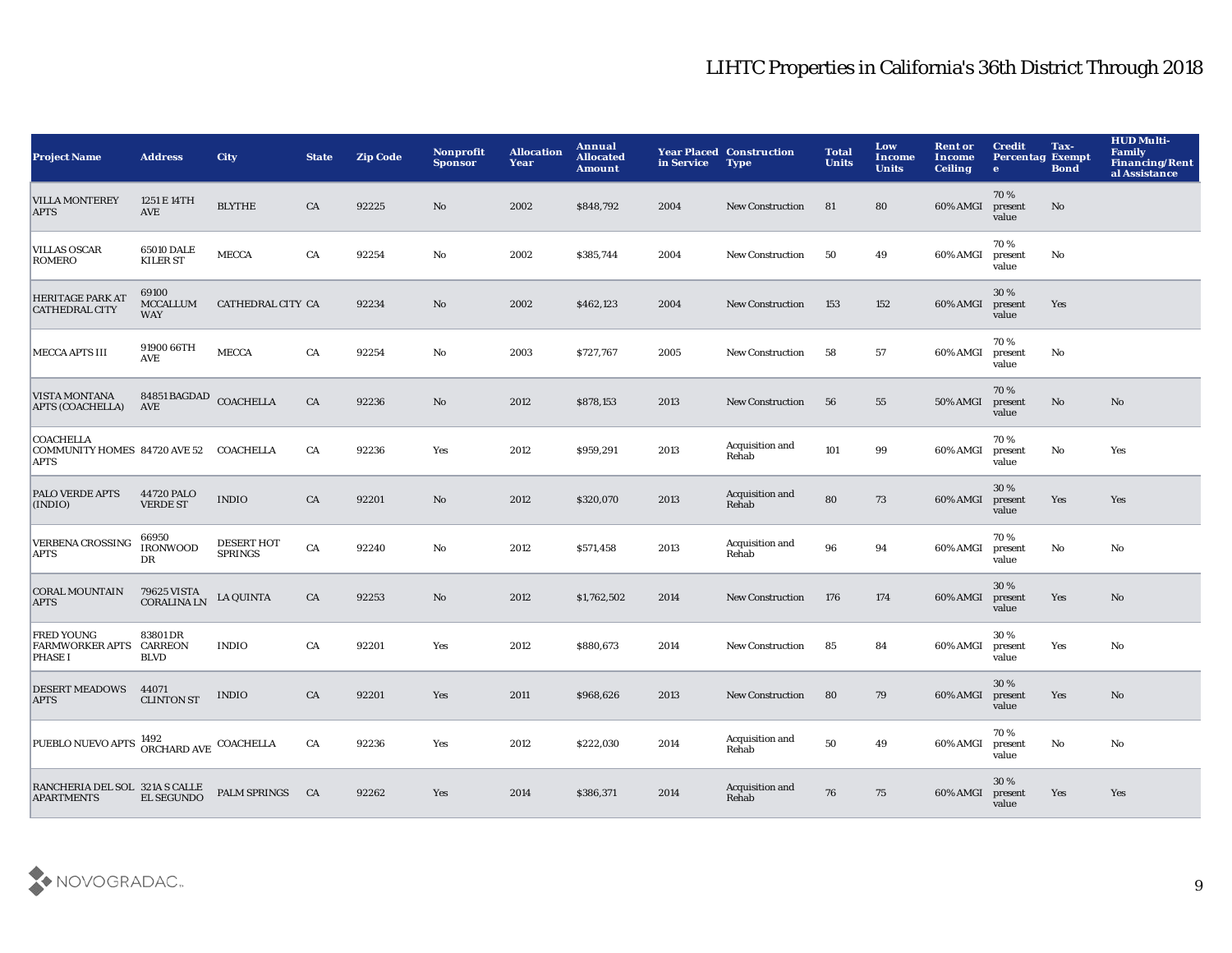| <b>Project Name</b>                                             | <b>Address</b>                         | <b>City</b>                         | <b>State</b> | <b>Zip Code</b> | Nonprofit<br><b>Sponsor</b> | <b>Allocation</b><br>Year | Annual<br><b>Allocated</b><br><b>Amount</b> | in Service | <b>Year Placed Construction</b><br><b>Type</b> | <b>Total</b><br><b>Units</b> | Low<br>Income<br><b>Units</b> | <b>Rent or</b><br>Income<br><b>Ceiling</b> | <b>Credit</b><br><b>Percentag Exempt</b><br>$\bullet$ | Tax-<br><b>Bond</b> | <b>HUD Multi-</b><br>Family<br>Financing/Rent<br>al Assistance |
|-----------------------------------------------------------------|----------------------------------------|-------------------------------------|--------------|-----------------|-----------------------------|---------------------------|---------------------------------------------|------------|------------------------------------------------|------------------------------|-------------------------------|--------------------------------------------|-------------------------------------------------------|---------------------|----------------------------------------------------------------|
| <b>VILLA MONTEREY</b><br><b>APTS</b>                            | 1251 E 14TH<br>AVE                     | <b>BLYTHE</b>                       | CA           | 92225           | No                          | 2002                      | \$848,792                                   | 2004       | <b>New Construction</b>                        | 81                           | 80                            | 60% AMGI                                   | 70%<br>present<br>value                               | No                  |                                                                |
| <b>VILLAS OSCAR</b><br>ROMERO                                   | 65010 DALE<br><b>KILER ST</b>          | <b>MECCA</b>                        | CA           | 92254           | $\mathbf{N}\mathbf{o}$      | 2002                      | \$385,744                                   | 2004       | New Construction                               | 50                           | 49                            | 60% AMGI                                   | 70%<br>present<br>value                               | No                  |                                                                |
| <b>HERITAGE PARK AT</b><br><b>CATHEDRAL CITY</b>                | 69100<br><b>MCCALLUM</b><br><b>WAY</b> | CATHEDRAL CITY CA                   |              | 92234           | $\mathbf{N}\mathbf{o}$      | 2002                      | \$462,123                                   | 2004       | <b>New Construction</b>                        | 153                          | 152                           | 60% AMGI                                   | 30%<br>present<br>value                               | Yes                 |                                                                |
| <b>MECCA APTS III</b>                                           | 91900 66TH<br><b>AVE</b>               | <b>MECCA</b>                        | CA           | 92254           | $\mathbf{No}$               | 2003                      | \$727,767                                   | 2005       | <b>New Construction</b>                        | 58                           | 57                            | 60% AMGI                                   | 70%<br>present<br>value                               | No                  |                                                                |
| <b>VISTA MONTANA</b><br><b>APTS (COACHELLA)</b>                 | 84851 BAGDAD COACHELLA<br>AVE          |                                     | ${\rm CA}$   | 92236           | $\rm No$                    | 2012                      | \$878,153                                   | 2013       | New Construction                               | 56                           | 55                            | <b>50% AMGI</b>                            | 70%<br>present<br>value                               | No                  | No                                                             |
| <b>COACHELLA</b><br>COMMUNITY HOMES 84720 AVE 52<br><b>APTS</b> |                                        | COACHELLA                           | CA           | 92236           | Yes                         | 2012                      | \$959,291                                   | 2013       | Acquisition and<br>Rehab                       | 101                          | 99                            | 60% AMGI                                   | 70%<br>present<br>value                               | No                  | Yes                                                            |
| <b>PALO VERDE APTS</b><br>(INDIO)                               | 44720 PALO<br><b>VERDE ST</b>          | <b>INDIO</b>                        | CA           | 92201           | No                          | 2012                      | \$320,070                                   | 2013       | Acquisition and<br>Rehab                       | 80                           | 73                            | 60% AMGI                                   | 30 %<br>present<br>value                              | Yes                 | Yes                                                            |
| <b>VERBENA CROSSING</b><br><b>APTS</b>                          | 66950<br><b>IRONWOOD</b><br>DR         | <b>DESERT HOT</b><br><b>SPRINGS</b> | ${\rm CA}$   | 92240           | $\mathbf{No}$               | 2012                      | \$571,458                                   | 2013       | Acquisition and<br>Rehab                       | 96                           | 94                            | 60% AMGI                                   | 70%<br>present<br>value                               | No                  | No                                                             |
| <b>CORAL MOUNTAIN</b><br><b>APTS</b>                            | 79625 VISTA<br><b>CORALINALN</b>       | <b>LA QUINTA</b>                    | CA           | 92253           | No                          | 2012                      | \$1,762,502                                 | 2014       | New Construction                               | 176                          | 174                           | 60% AMGI                                   | 30%<br>present<br>value                               | Yes                 | $\mathbf{N}\mathbf{o}$                                         |
| <b>FRED YOUNG</b><br><b>FARMWORKER APTS</b><br><b>PHASE I</b>   | 83801 DR<br>CARREON<br><b>BLVD</b>     | <b>INDIO</b>                        | CA           | 92201           | Yes                         | 2012                      | \$880,673                                   | 2014       | <b>New Construction</b>                        | 85                           | 84                            | 60% AMGI                                   | 30%<br>present<br>value                               | Yes                 | No                                                             |
| <b>DESERT MEADOWS</b><br><b>APTS</b>                            | 44071<br><b>CLINTON ST</b>             | <b>INDIO</b>                        | CA           | 92201           | Yes                         | 2011                      | \$968,626                                   | 2013       | <b>New Construction</b>                        | 80                           | 79                            | 60% AMGI                                   | 30 %<br>present<br>value                              | Yes                 | $\mathbf{N}\mathbf{o}$                                         |
| PUEBLO NUEVO APTS 1492<br>ORCHARD AVE COACHELLA                 |                                        |                                     | CA           | 92236           | Yes                         | 2012                      | \$222,030                                   | 2014       | Acquisition and<br>Rehab                       | 50                           | 49                            | 60% AMGI                                   | 70%<br>present<br>value                               | No                  | No                                                             |
| RANCHERIA DEL SOL 321A S CALLE<br><b>APARTMENTS</b>             | <b>EL SEGUNDO</b>                      | <b>PALM SPRINGS</b>                 | CA           | 92262           | Yes                         | 2014                      | \$386,371                                   | 2014       | Acquisition and<br>Rehab                       | 76                           | 75                            | 60% AMGI                                   | 30 %<br>present<br>value                              | Yes                 | <b>Yes</b>                                                     |